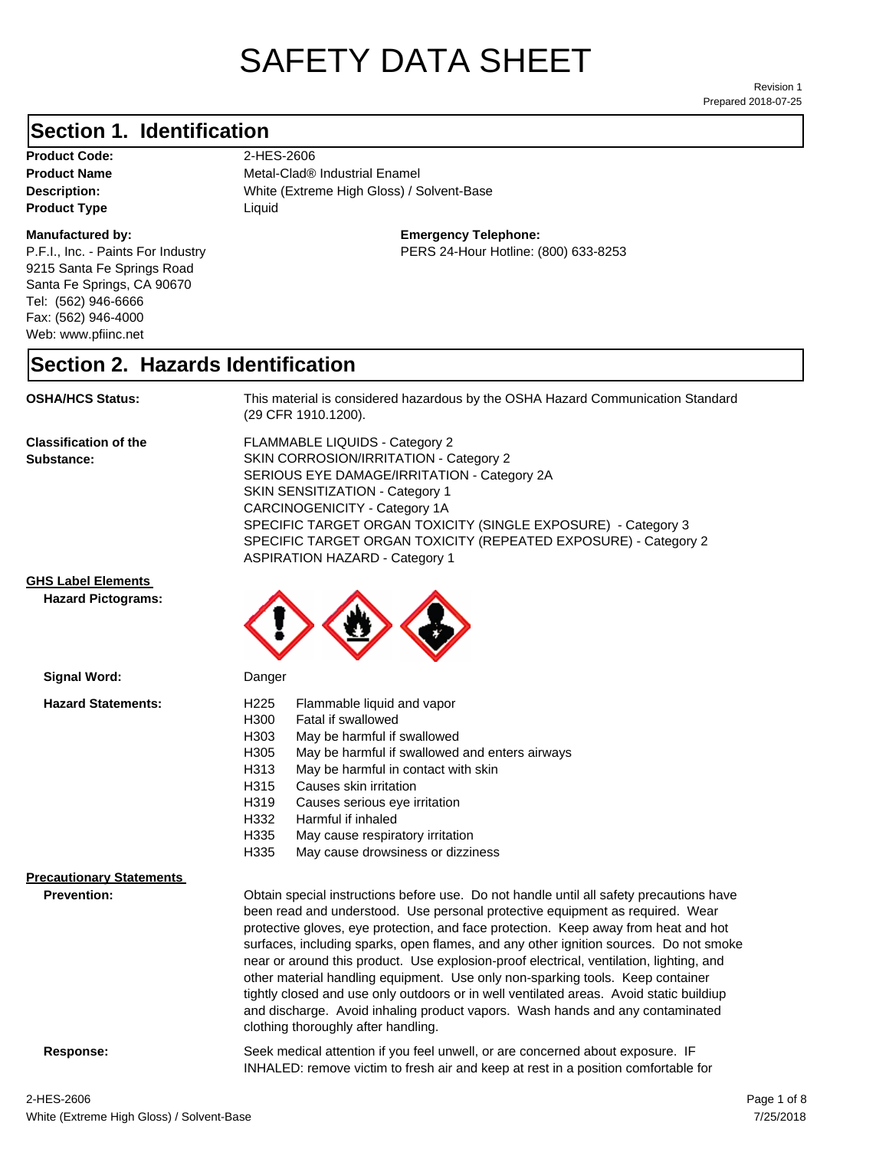# SAFETY DATA SHEET

Prepared 2018-07-25 Revision 1

#### **Section 1. Identification**

Product Code: 2-HES-2606 **Product Type Liquid Liquid** 

#### **Manufactured by:**

P.F.I., Inc. - Paints For Industry 9215 Santa Fe Springs Road Santa Fe Springs, CA 90670 Tel: (562) 946-6666 Fax: (562) 946-4000 Web: www.pfiinc.net

**Description:** White (Extreme High Gloss) / Solvent-Base **Product Name** Metal-Clad<sup>®</sup> Industrial Enamel

**Emergency Telephone:**

PERS 24-Hour Hotline: (800) 633-8253

#### **Section 2. Hazards Identification**

**OSHA/HCS Status:** This material is considered hazardous by the OSHA Hazard Communication Standard (29 CFR 1910.1200).

**Classification of the Substance:**

FLAMMABLE LIQUIDS - Category 2 SKIN CORROSION/IRRITATION - Category 2 SERIOUS EYE DAMAGE/IRRITATION - Category 2A SKIN SENSITIZATION - Category 1 CARCINOGENICITY - Category 1A SPECIFIC TARGET ORGAN TOXICITY (SINGLE EXPOSURE) - Category 3 SPECIFIC TARGET ORGAN TOXICITY (REPEATED EXPOSURE) - Category 2 ASPIRATION HAZARD - Category 1

INHALED: remove victim to fresh air and keep at rest in a position comfortable for

#### **GHS Label Elements**

**Signal Word:**

**Hazard Pictograms:**



| <b>Hazard Statements:</b>       | H <sub>225</sub> | Flammable liquid and vapor                                                              |
|---------------------------------|------------------|-----------------------------------------------------------------------------------------|
|                                 | H300             | Fatal if swallowed                                                                      |
|                                 | H303             | May be harmful if swallowed                                                             |
|                                 | H305             | May be harmful if swallowed and enters airways                                          |
|                                 | H313             | May be harmful in contact with skin                                                     |
|                                 | H315             | Causes skin irritation                                                                  |
|                                 | H319             | Causes serious eye irritation                                                           |
|                                 | H332             | Harmful if inhaled                                                                      |
|                                 | H335             | May cause respiratory irritation                                                        |
|                                 | H335             | May cause drowsiness or dizziness                                                       |
| <b>Precautionary Statements</b> |                  |                                                                                         |
| <b>Prevention:</b>              |                  | Obtain special instructions before use. Do not handle until all safety precautions have |
|                                 |                  | been read and understood. Use personal protective equipment as required. Wear           |
|                                 |                  | protective gloves, eye protection, and face protection. Keep away from heat and hot     |
|                                 |                  | surfaces, including sparks, open flames, and any other ignition sources. Do not smoke   |
|                                 |                  | near or around this product. Use explosion-proof electrical, ventilation, lighting, and |
|                                 |                  | other material handling equipment. Use only non-sparking tools. Keep container          |
|                                 |                  | tightly closed and use only outdoors or in well ventilated areas. Avoid static buildiup |
|                                 |                  | and discharge. Avoid inhaling product vapors. Wash hands and any contaminated           |
|                                 |                  | clothing thoroughly after handling.                                                     |
|                                 |                  |                                                                                         |

**Response:** Seek medical attention if you feel unwell, or are concerned about exposure. IF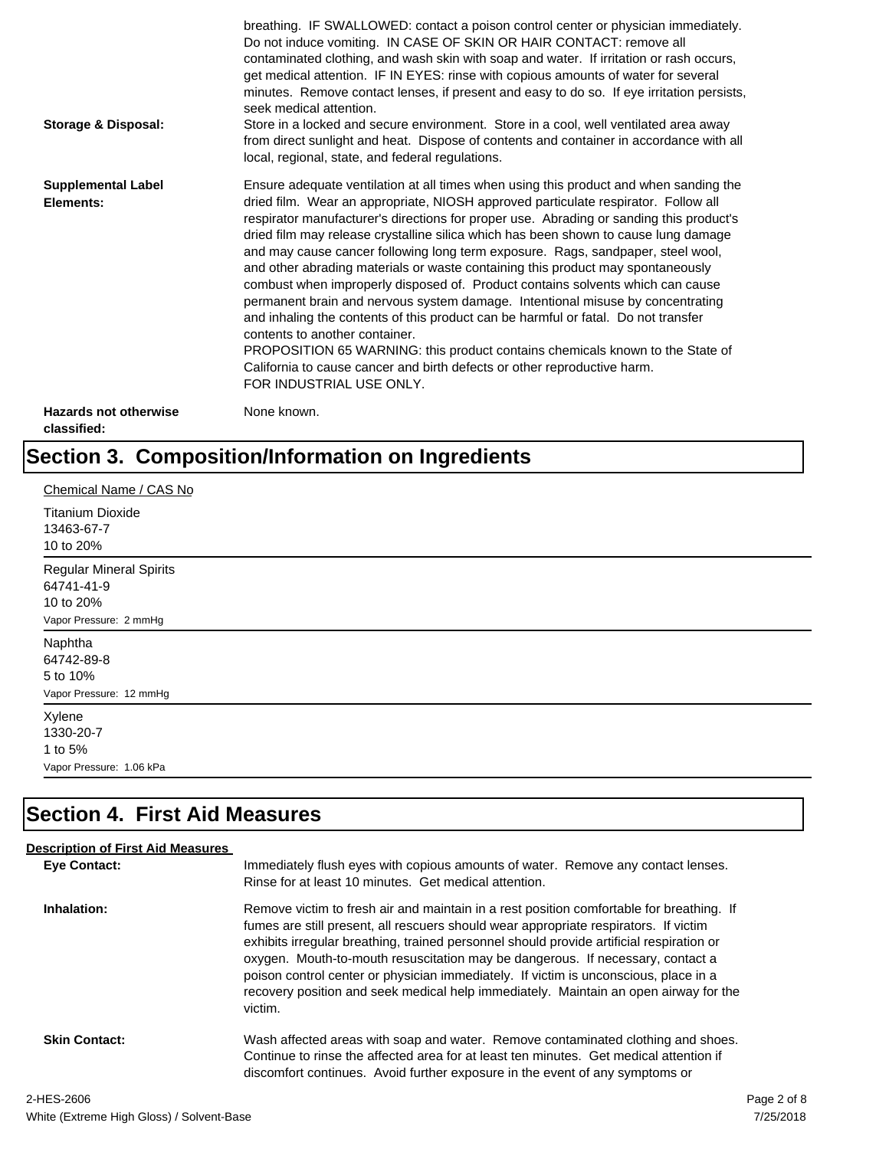| <b>Storage &amp; Disposal:</b>              | breathing. IF SWALLOWED: contact a poison control center or physician immediately.<br>Do not induce vomiting. IN CASE OF SKIN OR HAIR CONTACT: remove all<br>contaminated clothing, and wash skin with soap and water. If irritation or rash occurs,<br>get medical attention. IF IN EYES: rinse with copious amounts of water for several<br>minutes. Remove contact lenses, if present and easy to do so. If eye irritation persists,<br>seek medical attention.<br>Store in a locked and secure environment. Store in a cool, well ventilated area away<br>from direct sunlight and heat. Dispose of contents and container in accordance with all<br>local, regional, state, and federal regulations.                                                                                                                                                                                                                                                                                                                |
|---------------------------------------------|--------------------------------------------------------------------------------------------------------------------------------------------------------------------------------------------------------------------------------------------------------------------------------------------------------------------------------------------------------------------------------------------------------------------------------------------------------------------------------------------------------------------------------------------------------------------------------------------------------------------------------------------------------------------------------------------------------------------------------------------------------------------------------------------------------------------------------------------------------------------------------------------------------------------------------------------------------------------------------------------------------------------------|
| <b>Supplemental Label</b><br>Elements:      | Ensure adequate ventilation at all times when using this product and when sanding the<br>dried film. Wear an appropriate, NIOSH approved particulate respirator. Follow all<br>respirator manufacturer's directions for proper use. Abrading or sanding this product's<br>dried film may release crystalline silica which has been shown to cause lung damage<br>and may cause cancer following long term exposure. Rags, sandpaper, steel wool,<br>and other abrading materials or waste containing this product may spontaneously<br>combust when improperly disposed of. Product contains solvents which can cause<br>permanent brain and nervous system damage. Intentional misuse by concentrating<br>and inhaling the contents of this product can be harmful or fatal. Do not transfer<br>contents to another container.<br>PROPOSITION 65 WARNING: this product contains chemicals known to the State of<br>California to cause cancer and birth defects or other reproductive harm.<br>FOR INDUSTRIAL USE ONLY. |
| <b>Hazards not otherwise</b><br>classified: | None known.                                                                                                                                                                                                                                                                                                                                                                                                                                                                                                                                                                                                                                                                                                                                                                                                                                                                                                                                                                                                              |

## **Section 3. Composition/Information on Ingredients**

| Chemical Name / CAS No                                                              |
|-------------------------------------------------------------------------------------|
| <b>Titanium Dioxide</b><br>13463-67-7<br>10 to 20%                                  |
| <b>Regular Mineral Spirits</b><br>64741-41-9<br>10 to 20%<br>Vapor Pressure: 2 mmHg |
| Naphtha<br>64742-89-8<br>5 to 10%<br>Vapor Pressure: 12 mmHg                        |
| Xylene<br>1330-20-7<br>1 to 5%<br>Vapor Pressure: 1.06 kPa                          |

## **Section 4. First Aid Measures**

| <b>Description of First Aid Measures</b> |                                                                                                                                                                                                                                                                                                                                                                                                                                                                                                                                                           |
|------------------------------------------|-----------------------------------------------------------------------------------------------------------------------------------------------------------------------------------------------------------------------------------------------------------------------------------------------------------------------------------------------------------------------------------------------------------------------------------------------------------------------------------------------------------------------------------------------------------|
| <b>Eve Contact:</b>                      | Immediately flush eyes with copious amounts of water. Remove any contact lenses.<br>Rinse for at least 10 minutes. Get medical attention.                                                                                                                                                                                                                                                                                                                                                                                                                 |
| Inhalation:                              | Remove victim to fresh air and maintain in a rest position comfortable for breathing. If<br>fumes are still present, all rescuers should wear appropriate respirators. If victim<br>exhibits irregular breathing, trained personnel should provide artificial respiration or<br>oxygen. Mouth-to-mouth resuscitation may be dangerous. If necessary, contact a<br>poison control center or physician immediately. If victim is unconscious, place in a<br>recovery position and seek medical help immediately. Maintain an open airway for the<br>victim. |
| <b>Skin Contact:</b>                     | Wash affected areas with soap and water. Remove contaminated clothing and shoes.<br>Continue to rinse the affected area for at least ten minutes. Get medical attention if<br>discomfort continues. Avoid further exposure in the event of any symptoms or                                                                                                                                                                                                                                                                                                |
| - - - - - -                              |                                                                                                                                                                                                                                                                                                                                                                                                                                                                                                                                                           |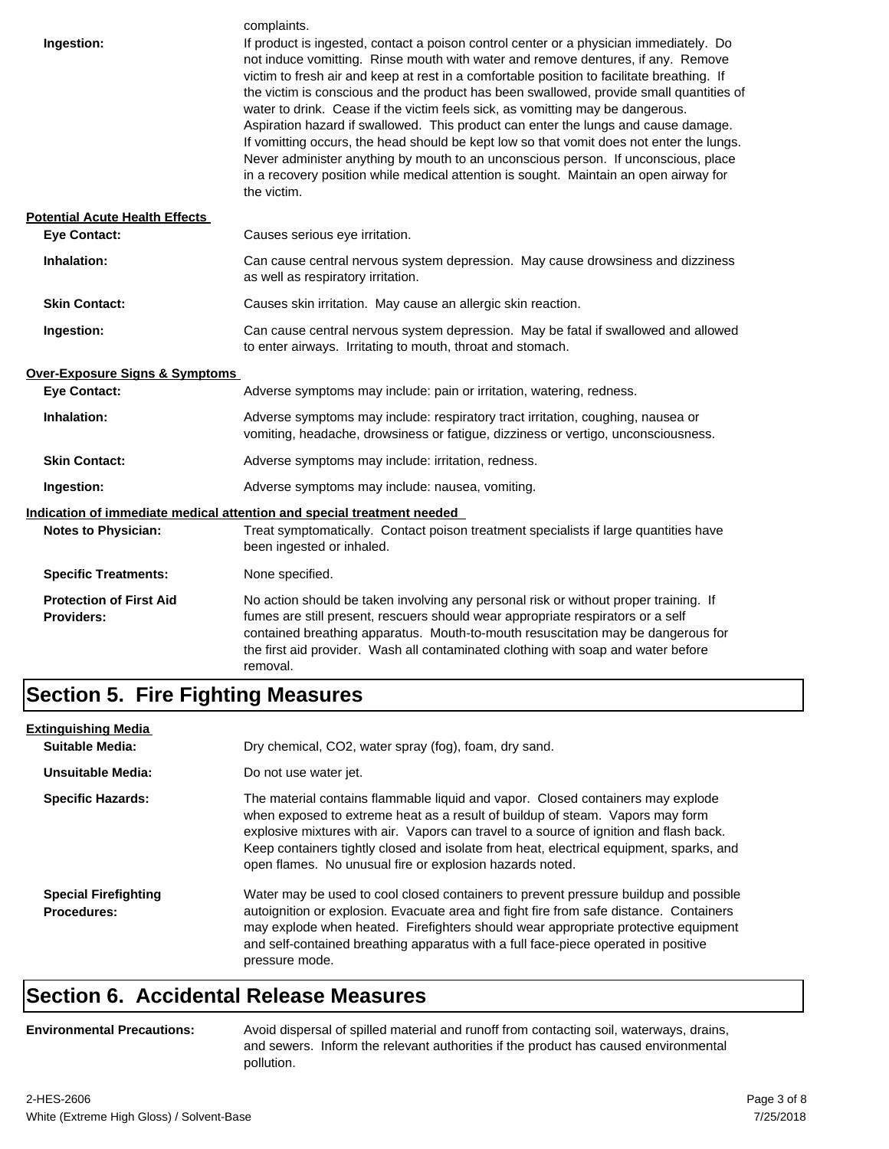| Ingestion:                                          | complaints.<br>If product is ingested, contact a poison control center or a physician immediately. Do<br>not induce vomitting. Rinse mouth with water and remove dentures, if any. Remove<br>victim to fresh air and keep at rest in a comfortable position to facilitate breathing. If<br>the victim is conscious and the product has been swallowed, provide small quantities of<br>water to drink. Cease if the victim feels sick, as vomitting may be dangerous.<br>Aspiration hazard if swallowed. This product can enter the lungs and cause damage.<br>If vomitting occurs, the head should be kept low so that vomit does not enter the lungs.<br>Never administer anything by mouth to an unconscious person. If unconscious, place<br>in a recovery position while medical attention is sought. Maintain an open airway for<br>the victim. |
|-----------------------------------------------------|------------------------------------------------------------------------------------------------------------------------------------------------------------------------------------------------------------------------------------------------------------------------------------------------------------------------------------------------------------------------------------------------------------------------------------------------------------------------------------------------------------------------------------------------------------------------------------------------------------------------------------------------------------------------------------------------------------------------------------------------------------------------------------------------------------------------------------------------------|
| <b>Potential Acute Health Effects</b>               |                                                                                                                                                                                                                                                                                                                                                                                                                                                                                                                                                                                                                                                                                                                                                                                                                                                      |
| <b>Eye Contact:</b>                                 | Causes serious eye irritation.                                                                                                                                                                                                                                                                                                                                                                                                                                                                                                                                                                                                                                                                                                                                                                                                                       |
| Inhalation:                                         | Can cause central nervous system depression. May cause drowsiness and dizziness<br>as well as respiratory irritation.                                                                                                                                                                                                                                                                                                                                                                                                                                                                                                                                                                                                                                                                                                                                |
| <b>Skin Contact:</b>                                | Causes skin irritation. May cause an allergic skin reaction.                                                                                                                                                                                                                                                                                                                                                                                                                                                                                                                                                                                                                                                                                                                                                                                         |
| Ingestion:                                          | Can cause central nervous system depression. May be fatal if swallowed and allowed<br>to enter airways. Irritating to mouth, throat and stomach.                                                                                                                                                                                                                                                                                                                                                                                                                                                                                                                                                                                                                                                                                                     |
| <b>Over-Exposure Signs &amp; Symptoms</b>           |                                                                                                                                                                                                                                                                                                                                                                                                                                                                                                                                                                                                                                                                                                                                                                                                                                                      |
| <b>Eye Contact:</b>                                 | Adverse symptoms may include: pain or irritation, watering, redness.                                                                                                                                                                                                                                                                                                                                                                                                                                                                                                                                                                                                                                                                                                                                                                                 |
| Inhalation:                                         | Adverse symptoms may include: respiratory tract irritation, coughing, nausea or<br>vomiting, headache, drowsiness or fatigue, dizziness or vertigo, unconsciousness.                                                                                                                                                                                                                                                                                                                                                                                                                                                                                                                                                                                                                                                                                 |
| <b>Skin Contact:</b>                                | Adverse symptoms may include: irritation, redness.                                                                                                                                                                                                                                                                                                                                                                                                                                                                                                                                                                                                                                                                                                                                                                                                   |
| Ingestion:                                          | Adverse symptoms may include: nausea, vomiting.                                                                                                                                                                                                                                                                                                                                                                                                                                                                                                                                                                                                                                                                                                                                                                                                      |
|                                                     | Indication of immediate medical attention and special treatment needed                                                                                                                                                                                                                                                                                                                                                                                                                                                                                                                                                                                                                                                                                                                                                                               |
| <b>Notes to Physician:</b>                          | Treat symptomatically. Contact poison treatment specialists if large quantities have<br>been ingested or inhaled.                                                                                                                                                                                                                                                                                                                                                                                                                                                                                                                                                                                                                                                                                                                                    |
| <b>Specific Treatments:</b>                         | None specified.                                                                                                                                                                                                                                                                                                                                                                                                                                                                                                                                                                                                                                                                                                                                                                                                                                      |
| <b>Protection of First Aid</b><br><b>Providers:</b> | No action should be taken involving any personal risk or without proper training. If<br>fumes are still present, rescuers should wear appropriate respirators or a self<br>contained breathing apparatus. Mouth-to-mouth resuscitation may be dangerous for<br>the first aid provider. Wash all contaminated clothing with soap and water before<br>removal.                                                                                                                                                                                                                                                                                                                                                                                                                                                                                         |

#### **Section 5. Fire Fighting Measures**

| <b>Extinguishing Media</b>                        |                                                                                                                                                                                                                                                                                                                                                                                                                   |
|---------------------------------------------------|-------------------------------------------------------------------------------------------------------------------------------------------------------------------------------------------------------------------------------------------------------------------------------------------------------------------------------------------------------------------------------------------------------------------|
| Suitable Media:                                   | Dry chemical, CO2, water spray (fog), foam, dry sand.                                                                                                                                                                                                                                                                                                                                                             |
| Unsuitable Media:                                 | Do not use water jet.                                                                                                                                                                                                                                                                                                                                                                                             |
| <b>Specific Hazards:</b>                          | The material contains flammable liquid and vapor. Closed containers may explode<br>when exposed to extreme heat as a result of buildup of steam. Vapors may form<br>explosive mixtures with air. Vapors can travel to a source of ignition and flash back.<br>Keep containers tightly closed and isolate from heat, electrical equipment, sparks, and<br>open flames. No unusual fire or explosion hazards noted. |
| <b>Special Firefighting</b><br><b>Procedures:</b> | Water may be used to cool closed containers to prevent pressure buildup and possible<br>autoignition or explosion. Evacuate area and fight fire from safe distance. Containers<br>may explode when heated. Firefighters should wear appropriate protective equipment<br>and self-contained breathing apparatus with a full face-piece operated in positive<br>pressure mode.                                      |

## **Section 6. Accidental Release Measures**

```
Environmental Precautions:
```
Avoid dispersal of spilled material and runoff from contacting soil, waterways, drains, and sewers. Inform the relevant authorities if the product has caused environmental pollution.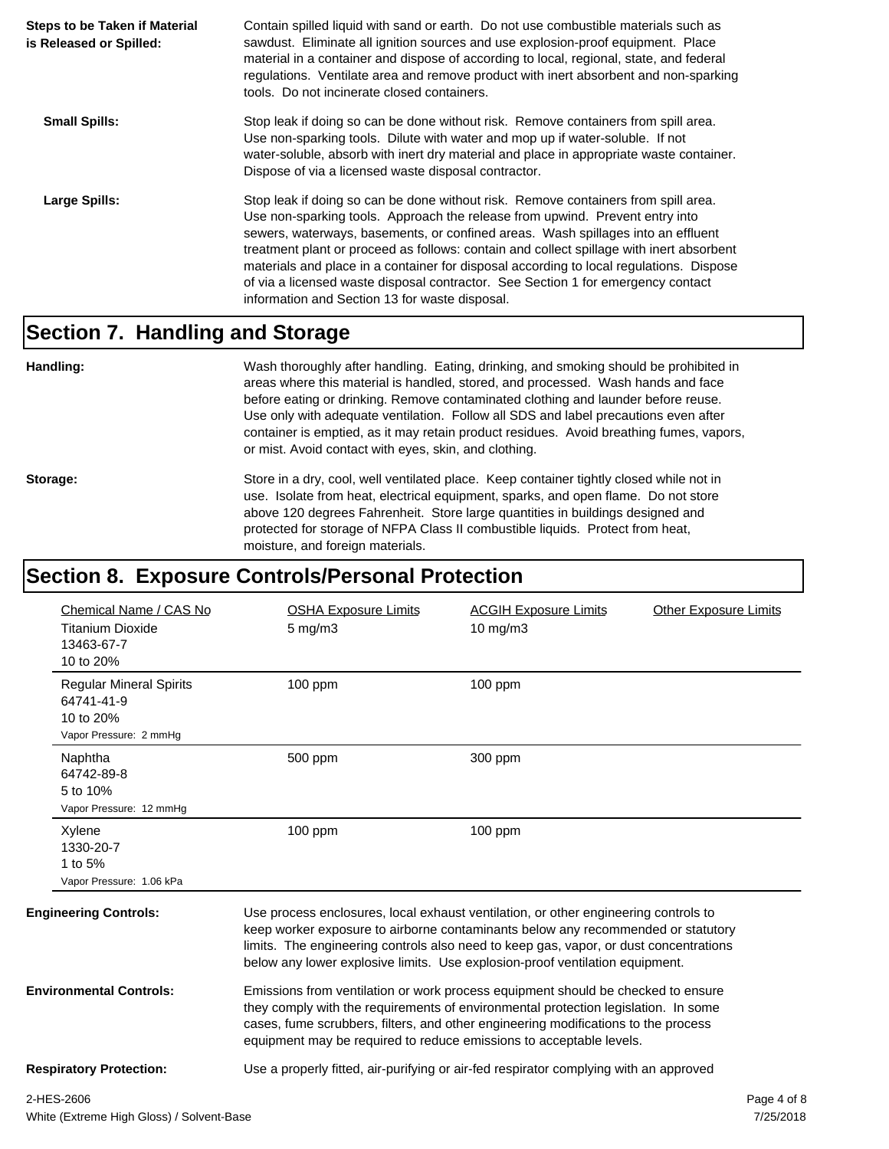| <b>Steps to be Taken if Material</b><br>is Released or Spilled: | Contain spilled liquid with sand or earth. Do not use combustible materials such as<br>sawdust. Eliminate all ignition sources and use explosion-proof equipment. Place<br>material in a container and dispose of according to local, regional, state, and federal<br>regulations. Ventilate area and remove product with inert absorbent and non-sparking<br>tools. Do not incinerate closed containers.                                                                                                                                                                           |
|-----------------------------------------------------------------|-------------------------------------------------------------------------------------------------------------------------------------------------------------------------------------------------------------------------------------------------------------------------------------------------------------------------------------------------------------------------------------------------------------------------------------------------------------------------------------------------------------------------------------------------------------------------------------|
| <b>Small Spills:</b>                                            | Stop leak if doing so can be done without risk. Remove containers from spill area.<br>Use non-sparking tools. Dilute with water and mop up if water-soluble. If not<br>water-soluble, absorb with inert dry material and place in appropriate waste container.<br>Dispose of via a licensed waste disposal contractor.                                                                                                                                                                                                                                                              |
| Large Spills:                                                   | Stop leak if doing so can be done without risk. Remove containers from spill area.<br>Use non-sparking tools. Approach the release from upwind. Prevent entry into<br>sewers, waterways, basements, or confined areas. Wash spillages into an effluent<br>treatment plant or proceed as follows: contain and collect spillage with inert absorbent<br>materials and place in a container for disposal according to local regulations. Dispose<br>of via a licensed waste disposal contractor. See Section 1 for emergency contact<br>information and Section 13 for waste disposal. |

#### **Section 7. Handling and Storage**

**Handling:** Wash thoroughly after handling. Eating, drinking, and smoking should be prohibited in areas where this material is handled, stored, and processed. Wash hands and face before eating or drinking. Remove contaminated clothing and launder before reuse. Use only with adequate ventilation. Follow all SDS and label precautions even after container is emptied, as it may retain product residues. Avoid breathing fumes, vapors, or mist. Avoid contact with eyes, skin, and clothing.

Storage: Store in a dry, cool, well ventilated place. Keep container tightly closed while not in use. Isolate from heat, electrical equipment, sparks, and open flame. Do not store above 120 degrees Fahrenheit. Store large quantities in buildings designed and protected for storage of NFPA Class II combustible liquids. Protect from heat, moisture, and foreign materials.

## **Section 8. Exposure Controls/Personal Protection**

| Chemical Name / CAS No         | <b>OSHA Exposure Limits</b>                                                                                                                                                                                                                                                                                                                      | <b>ACGIH Exposure Limits</b> | <b>Other Exposure Limits</b> |
|--------------------------------|--------------------------------------------------------------------------------------------------------------------------------------------------------------------------------------------------------------------------------------------------------------------------------------------------------------------------------------------------|------------------------------|------------------------------|
| <b>Titanium Dioxide</b>        | $5$ mg/m $3$                                                                                                                                                                                                                                                                                                                                     | 10 mg/m3                     |                              |
| 13463-67-7                     |                                                                                                                                                                                                                                                                                                                                                  |                              |                              |
| 10 to 20%                      |                                                                                                                                                                                                                                                                                                                                                  |                              |                              |
| <b>Regular Mineral Spirits</b> | $100$ ppm                                                                                                                                                                                                                                                                                                                                        | $100$ ppm                    |                              |
| 64741-41-9                     |                                                                                                                                                                                                                                                                                                                                                  |                              |                              |
| 10 to 20%                      |                                                                                                                                                                                                                                                                                                                                                  |                              |                              |
| Vapor Pressure: 2 mmHg         |                                                                                                                                                                                                                                                                                                                                                  |                              |                              |
| Naphtha                        | 500 ppm                                                                                                                                                                                                                                                                                                                                          | 300 ppm                      |                              |
| 64742-89-8                     |                                                                                                                                                                                                                                                                                                                                                  |                              |                              |
| 5 to 10%                       |                                                                                                                                                                                                                                                                                                                                                  |                              |                              |
| Vapor Pressure: 12 mmHg        |                                                                                                                                                                                                                                                                                                                                                  |                              |                              |
| Xylene                         | $100$ ppm                                                                                                                                                                                                                                                                                                                                        | $100$ ppm                    |                              |
| 1330-20-7                      |                                                                                                                                                                                                                                                                                                                                                  |                              |                              |
| 1 to 5%                        |                                                                                                                                                                                                                                                                                                                                                  |                              |                              |
| Vapor Pressure: 1.06 kPa       |                                                                                                                                                                                                                                                                                                                                                  |                              |                              |
| <b>Engineering Controls:</b>   | Use process enclosures, local exhaust ventilation, or other engineering controls to<br>keep worker exposure to airborne contaminants below any recommended or statutory<br>limits. The engineering controls also need to keep gas, vapor, or dust concentrations<br>below any lower explosive limits. Use explosion-proof ventilation equipment. |                              |                              |
| <b>Environmental Controls:</b> | Emissions from ventilation or work process equipment should be checked to ensure<br>they comply with the requirements of environmental protection legislation. In some<br>cases, fume scrubbers, filters, and other engineering modifications to the process<br>equipment may be required to reduce emissions to acceptable levels.              |                              |                              |
| <b>Respiratory Protection:</b> | Use a properly fitted, air-purifying or air-fed respirator complying with an approved                                                                                                                                                                                                                                                            |                              |                              |
| 2-HES-2606                     |                                                                                                                                                                                                                                                                                                                                                  |                              | Page 4 of 8                  |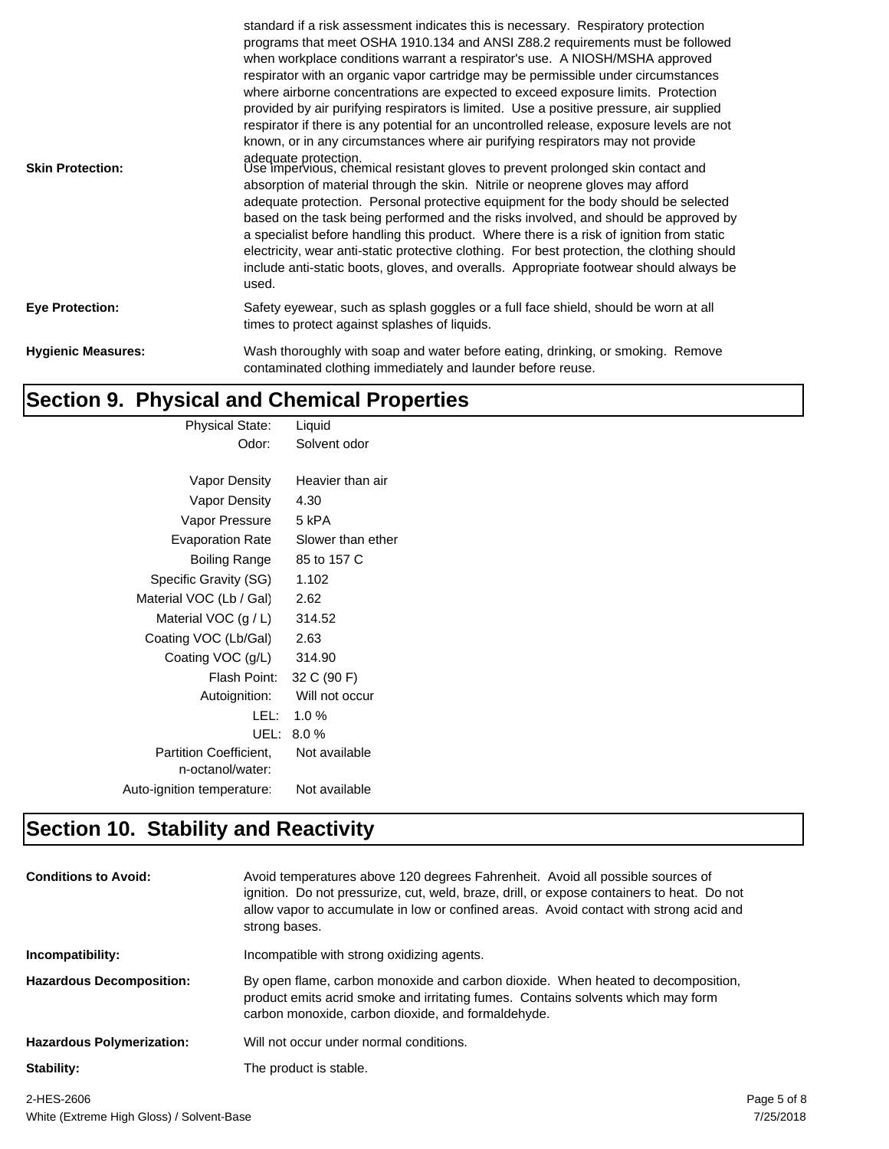| <b>Skin Protection:</b>   | standard if a risk assessment indicates this is necessary. Respiratory protection<br>programs that meet OSHA 1910.134 and ANSI Z88.2 requirements must be followed<br>when workplace conditions warrant a respirator's use. A NIOSH/MSHA approved<br>respirator with an organic vapor cartridge may be permissible under circumstances<br>where airborne concentrations are expected to exceed exposure limits. Protection<br>provided by air purifying respirators is limited. Use a positive pressure, air supplied<br>respirator if there is any potential for an uncontrolled release, exposure levels are not<br>known, or in any circumstances where air purifying respirators may not provide<br>adequate protection.<br>Use impervious, chemical resistant gloves to prevent prolonged skin contact and<br>absorption of material through the skin. Nitrile or neoprene gloves may afford<br>adequate protection. Personal protective equipment for the body should be selected<br>based on the task being performed and the risks involved, and should be approved by<br>a specialist before handling this product. Where there is a risk of ignition from static<br>electricity, wear anti-static protective clothing. For best protection, the clothing should<br>include anti-static boots, gloves, and overalls. Appropriate footwear should always be<br>used. |
|---------------------------|------------------------------------------------------------------------------------------------------------------------------------------------------------------------------------------------------------------------------------------------------------------------------------------------------------------------------------------------------------------------------------------------------------------------------------------------------------------------------------------------------------------------------------------------------------------------------------------------------------------------------------------------------------------------------------------------------------------------------------------------------------------------------------------------------------------------------------------------------------------------------------------------------------------------------------------------------------------------------------------------------------------------------------------------------------------------------------------------------------------------------------------------------------------------------------------------------------------------------------------------------------------------------------------------------------------------------------------------------------------------------|
| <b>Eye Protection:</b>    | Safety eyewear, such as splash goggles or a full face shield, should be worn at all<br>times to protect against splashes of liquids.                                                                                                                                                                                                                                                                                                                                                                                                                                                                                                                                                                                                                                                                                                                                                                                                                                                                                                                                                                                                                                                                                                                                                                                                                                         |
| <b>Hygienic Measures:</b> | Wash thoroughly with soap and water before eating, drinking, or smoking. Remove<br>contaminated clothing immediately and launder before reuse.                                                                                                                                                                                                                                                                                                                                                                                                                                                                                                                                                                                                                                                                                                                                                                                                                                                                                                                                                                                                                                                                                                                                                                                                                               |

## **Section 9. Physical and Chemical Properties**

| <b>Physical State:</b>     | Liquid            |
|----------------------------|-------------------|
| Odor:                      | Solvent odor      |
|                            |                   |
| Vapor Density              | Heavier than air  |
| Vapor Density              | 4.30              |
| Vapor Pressure             | 5 kPA             |
| <b>Evaporation Rate</b>    | Slower than ether |
| Boiling Range              | 85 to 157 C       |
| Specific Gravity (SG)      | 1.102             |
| Material VOC (Lb / Gal)    | 2.62              |
| Material VOC $(g/L)$       | 314.52            |
| Coating VOC (Lb/Gal)       | 2.63              |
| Coating VOC (g/L)          | 314.90            |
| Flash Point:               | 32 C (90 F)       |
| Autoignition:              | Will not occur    |
| LEL: I                     | 1.0%              |
| UEL:                       | 8.0%              |
| Partition Coefficient,     | Not available     |
| n-octanol/water:           |                   |
| Auto-ignition temperature: | Not available     |
|                            |                   |

## **Section 10. Stability and Reactivity**

| <b>Conditions to Avoid:</b>      | Avoid temperatures above 120 degrees Fahrenheit. Avoid all possible sources of<br>ignition. Do not pressurize, cut, weld, braze, drill, or expose containers to heat. Do not<br>allow vapor to accumulate in low or confined areas. Avoid contact with strong acid and<br>strong bases. |
|----------------------------------|-----------------------------------------------------------------------------------------------------------------------------------------------------------------------------------------------------------------------------------------------------------------------------------------|
| Incompatibility:                 | Incompatible with strong oxidizing agents.                                                                                                                                                                                                                                              |
| <b>Hazardous Decomposition:</b>  | By open flame, carbon monoxide and carbon dioxide. When heated to decomposition,<br>product emits acrid smoke and irritating fumes. Contains solvents which may form<br>carbon monoxide, carbon dioxide, and formaldehyde.                                                              |
| <b>Hazardous Polymerization:</b> | Will not occur under normal conditions.                                                                                                                                                                                                                                                 |
| Stability:                       | The product is stable.                                                                                                                                                                                                                                                                  |
|                                  |                                                                                                                                                                                                                                                                                         |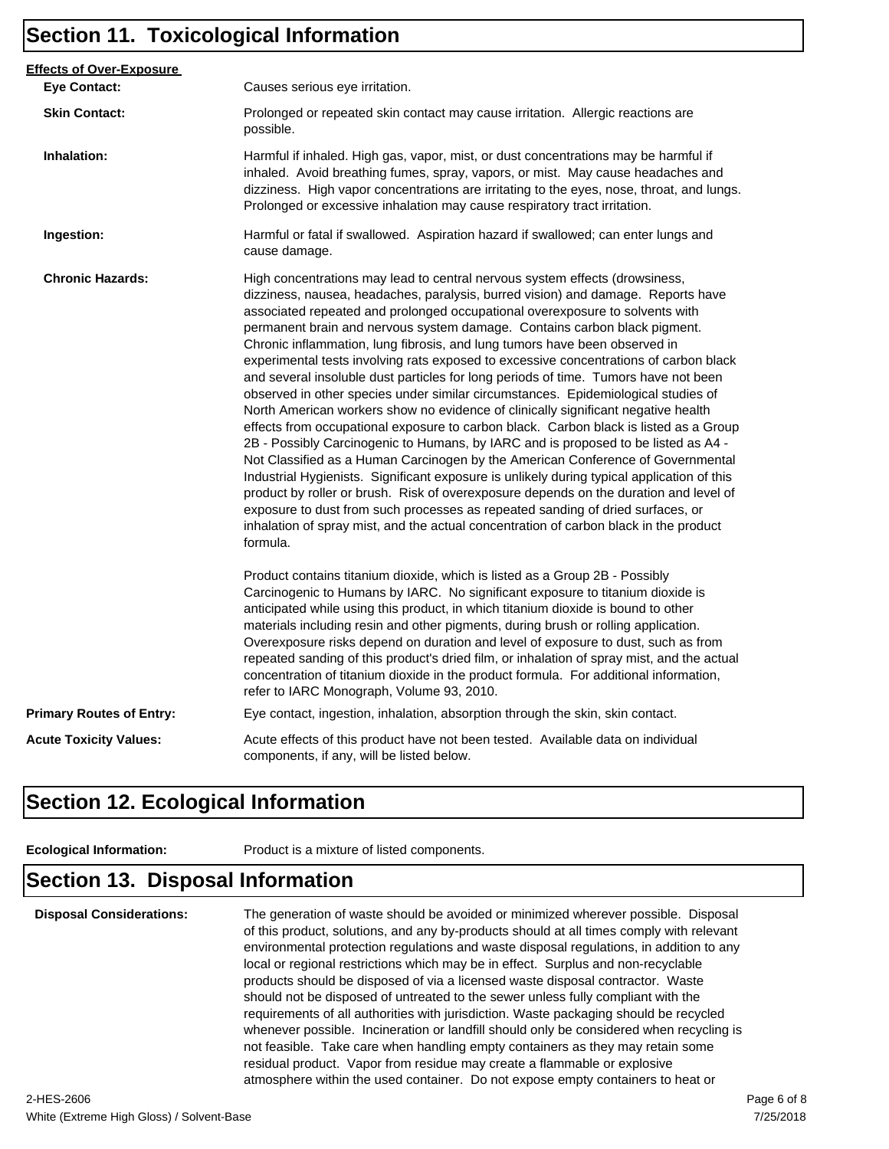#### **Section 11. Toxicological Information**

| <b>Effects of Over-Exposure</b> |                                                                                                                                                                                                                                                                                                                                                                                                                                                                                                                                                                                                                                                                                                                                                                                                                                                                                                                                                                                                                                                                                                                                                                                                                                                                                                                                                                                                                      |
|---------------------------------|----------------------------------------------------------------------------------------------------------------------------------------------------------------------------------------------------------------------------------------------------------------------------------------------------------------------------------------------------------------------------------------------------------------------------------------------------------------------------------------------------------------------------------------------------------------------------------------------------------------------------------------------------------------------------------------------------------------------------------------------------------------------------------------------------------------------------------------------------------------------------------------------------------------------------------------------------------------------------------------------------------------------------------------------------------------------------------------------------------------------------------------------------------------------------------------------------------------------------------------------------------------------------------------------------------------------------------------------------------------------------------------------------------------------|
| <b>Eye Contact:</b>             | Causes serious eye irritation.                                                                                                                                                                                                                                                                                                                                                                                                                                                                                                                                                                                                                                                                                                                                                                                                                                                                                                                                                                                                                                                                                                                                                                                                                                                                                                                                                                                       |
| <b>Skin Contact:</b>            | Prolonged or repeated skin contact may cause irritation. Allergic reactions are<br>possible.                                                                                                                                                                                                                                                                                                                                                                                                                                                                                                                                                                                                                                                                                                                                                                                                                                                                                                                                                                                                                                                                                                                                                                                                                                                                                                                         |
| Inhalation:                     | Harmful if inhaled. High gas, vapor, mist, or dust concentrations may be harmful if<br>inhaled. Avoid breathing fumes, spray, vapors, or mist. May cause headaches and<br>dizziness. High vapor concentrations are irritating to the eyes, nose, throat, and lungs.<br>Prolonged or excessive inhalation may cause respiratory tract irritation.                                                                                                                                                                                                                                                                                                                                                                                                                                                                                                                                                                                                                                                                                                                                                                                                                                                                                                                                                                                                                                                                     |
| Ingestion:                      | Harmful or fatal if swallowed. Aspiration hazard if swallowed; can enter lungs and<br>cause damage.                                                                                                                                                                                                                                                                                                                                                                                                                                                                                                                                                                                                                                                                                                                                                                                                                                                                                                                                                                                                                                                                                                                                                                                                                                                                                                                  |
| <b>Chronic Hazards:</b>         | High concentrations may lead to central nervous system effects (drowsiness,<br>dizziness, nausea, headaches, paralysis, burred vision) and damage. Reports have<br>associated repeated and prolonged occupational overexposure to solvents with<br>permanent brain and nervous system damage. Contains carbon black pigment.<br>Chronic inflammation, lung fibrosis, and lung tumors have been observed in<br>experimental tests involving rats exposed to excessive concentrations of carbon black<br>and several insoluble dust particles for long periods of time. Tumors have not been<br>observed in other species under similar circumstances. Epidemiological studies of<br>North American workers show no evidence of clinically significant negative health<br>effects from occupational exposure to carbon black. Carbon black is listed as a Group<br>2B - Possibly Carcinogenic to Humans, by IARC and is proposed to be listed as A4 -<br>Not Classified as a Human Carcinogen by the American Conference of Governmental<br>Industrial Hygienists. Significant exposure is unlikely during typical application of this<br>product by roller or brush. Risk of overexposure depends on the duration and level of<br>exposure to dust from such processes as repeated sanding of dried surfaces, or<br>inhalation of spray mist, and the actual concentration of carbon black in the product<br>formula. |
|                                 | Product contains titanium dioxide, which is listed as a Group 2B - Possibly<br>Carcinogenic to Humans by IARC. No significant exposure to titanium dioxide is<br>anticipated while using this product, in which titanium dioxide is bound to other<br>materials including resin and other pigments, during brush or rolling application.<br>Overexposure risks depend on duration and level of exposure to dust, such as from<br>repeated sanding of this product's dried film, or inhalation of spray mist, and the actual<br>concentration of titanium dioxide in the product formula. For additional information,<br>refer to IARC Monograph, Volume 93, 2010.                                                                                                                                                                                                                                                                                                                                                                                                                                                                                                                                                                                                                                                                                                                                                    |
| <b>Primary Routes of Entry:</b> | Eye contact, ingestion, inhalation, absorption through the skin, skin contact.                                                                                                                                                                                                                                                                                                                                                                                                                                                                                                                                                                                                                                                                                                                                                                                                                                                                                                                                                                                                                                                                                                                                                                                                                                                                                                                                       |
| <b>Acute Toxicity Values:</b>   | Acute effects of this product have not been tested. Available data on individual<br>components, if any, will be listed below.                                                                                                                                                                                                                                                                                                                                                                                                                                                                                                                                                                                                                                                                                                                                                                                                                                                                                                                                                                                                                                                                                                                                                                                                                                                                                        |

#### **Section 12. Ecological Information**

**Ecological Information:** Product is a mixture of listed components.

### **Section 13. Disposal Information**

**Disposal Considerations:** The generation of waste should be avoided or minimized wherever possible. Disposal of this product, solutions, and any by-products should at all times comply with relevant environmental protection regulations and waste disposal regulations, in addition to any local or regional restrictions which may be in effect. Surplus and non-recyclable products should be disposed of via a licensed waste disposal contractor. Waste should not be disposed of untreated to the sewer unless fully compliant with the requirements of all authorities with jurisdiction. Waste packaging should be recycled whenever possible. Incineration or landfill should only be considered when recycling is not feasible. Take care when handling empty containers as they may retain some residual product. Vapor from residue may create a flammable or explosive atmosphere within the used container. Do not expose empty containers to heat or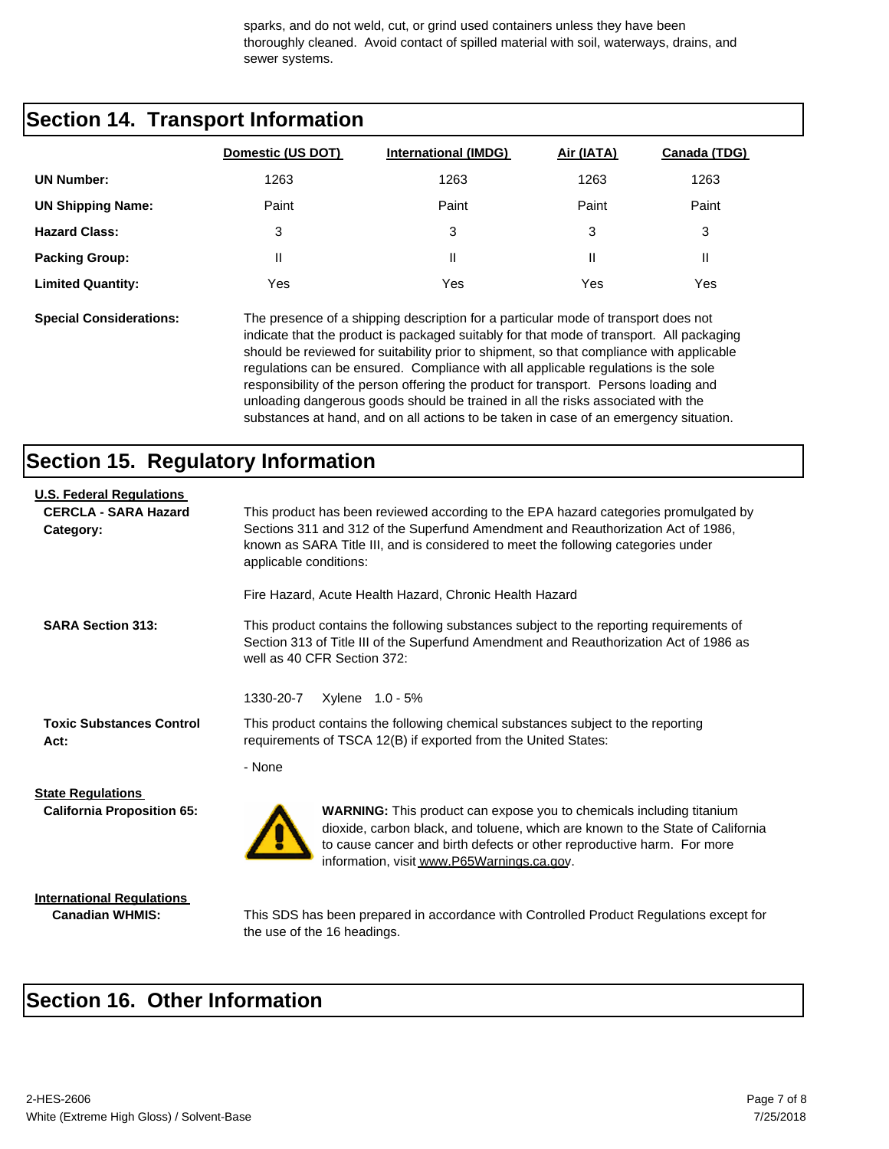sparks, and do not weld, cut, or grind used containers unless they have been thoroughly cleaned. Avoid contact of spilled material with soil, waterways, drains, and sewer systems.

### **Section 14. Transport Information**

|                          | Domestic (US DOT) | <b>International (IMDG)</b> | Air (IATA) | <b>Canada (TDG)</b> |
|--------------------------|-------------------|-----------------------------|------------|---------------------|
| <b>UN Number:</b>        | 1263              | 1263                        | 1263       | 1263                |
| <b>UN Shipping Name:</b> | Paint             | Paint                       | Paint      | Paint               |
| <b>Hazard Class:</b>     | 3                 | 3                           | 3          | 3                   |
| <b>Packing Group:</b>    | Ш                 | Ш                           |            |                     |
| <b>Limited Quantity:</b> | Yes               | Yes                         | Yes        | Yes                 |

**Special Considerations:** The presence of a shipping description for a particular mode of transport does not

indicate that the product is packaged suitably for that mode of transport. All packaging should be reviewed for suitability prior to shipment, so that compliance with applicable regulations can be ensured. Compliance with all applicable regulations is the sole responsibility of the person offering the product for transport. Persons loading and unloading dangerous goods should be trained in all the risks associated with the substances at hand, and on all actions to be taken in case of an emergency situation.

#### **Section 15. Regulatory Information**

| <b>U.S. Federal Regulations</b><br><b>CERCLA - SARA Hazard</b><br>Category: | This product has been reviewed according to the EPA hazard categories promulgated by<br>Sections 311 and 312 of the Superfund Amendment and Reauthorization Act of 1986,<br>known as SARA Title III, and is considered to meet the following categories under<br>applicable conditions: |  |  |  |
|-----------------------------------------------------------------------------|-----------------------------------------------------------------------------------------------------------------------------------------------------------------------------------------------------------------------------------------------------------------------------------------|--|--|--|
|                                                                             | Fire Hazard, Acute Health Hazard, Chronic Health Hazard                                                                                                                                                                                                                                 |  |  |  |
| <b>SARA Section 313:</b>                                                    | This product contains the following substances subject to the reporting requirements of<br>Section 313 of Title III of the Superfund Amendment and Reauthorization Act of 1986 as<br>well as 40 CFR Section 372:                                                                        |  |  |  |
|                                                                             | Xylene 1.0 - 5%<br>1330-20-7                                                                                                                                                                                                                                                            |  |  |  |
| <b>Toxic Substances Control</b><br>Act:                                     | This product contains the following chemical substances subject to the reporting<br>requirements of TSCA 12(B) if exported from the United States:                                                                                                                                      |  |  |  |
|                                                                             | - None                                                                                                                                                                                                                                                                                  |  |  |  |
| <b>State Regulations</b><br><b>California Proposition 65:</b>               | <b>WARNING:</b> This product can expose you to chemicals including titanium<br>dioxide, carbon black, and toluene, which are known to the State of California<br>to cause cancer and birth defects or other reproductive harm. For more<br>information, visit www.P65Warnings.ca.gov.   |  |  |  |
| <b>International Requlations</b>                                            |                                                                                                                                                                                                                                                                                         |  |  |  |

**Canadian WHMIS:** This SDS has been prepared in accordance with Controlled Product Regulations except for the use of the 16 headings.

## **Section 16. Other Information**